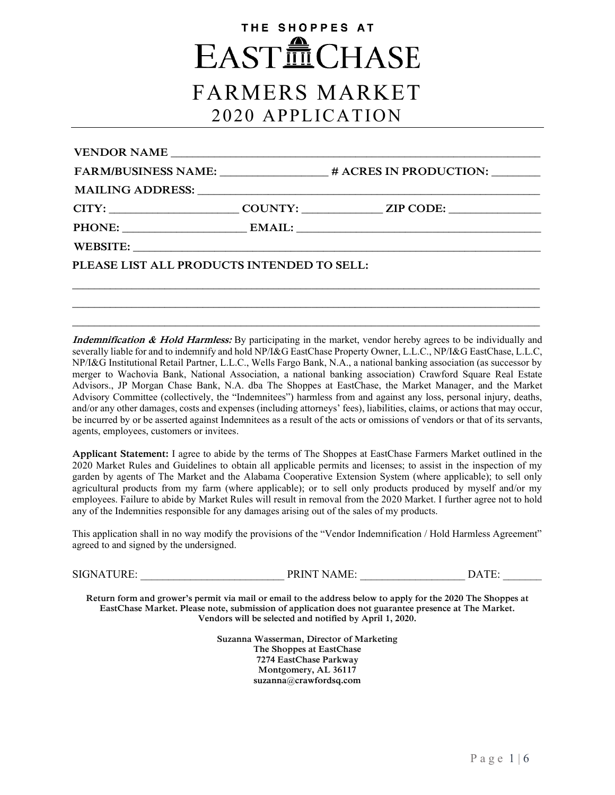# THE SHOPPES AT **EASTILCHASE** FARMERS MARKET 2020 APPLICATION

| VENDOR NAME                                |                                                                        |  |  |
|--------------------------------------------|------------------------------------------------------------------------|--|--|
|                                            | FARM/BUSINESS NAME: __________________# ACRES IN PRODUCTION: _________ |  |  |
|                                            |                                                                        |  |  |
|                                            |                                                                        |  |  |
|                                            |                                                                        |  |  |
|                                            |                                                                        |  |  |
| PLEASE LIST ALL PRODUCTS INTENDED TO SELL: |                                                                        |  |  |
|                                            |                                                                        |  |  |
|                                            |                                                                        |  |  |

**\_\_\_\_\_\_\_\_\_\_\_\_\_\_\_\_\_\_\_\_\_\_\_\_\_\_\_\_\_\_\_\_\_\_\_\_\_\_\_\_\_\_\_\_\_\_\_\_\_\_\_\_\_\_\_\_\_\_\_\_\_\_\_\_\_\_\_\_\_\_\_\_\_\_\_\_\_\_\_\_\_\_\_\_\_\_ \_\_\_\_\_\_\_\_\_\_\_\_\_\_\_\_\_\_\_\_\_\_\_\_\_\_\_\_\_\_\_\_\_\_\_\_\_\_\_\_\_\_\_\_\_\_\_\_\_\_\_\_\_\_\_\_\_\_\_\_\_\_\_\_\_\_\_\_\_\_\_\_\_\_\_\_\_\_\_\_\_\_\_\_\_\_**

**Indemnification & Hold Harmless:** By participating in the market, vendor hereby agrees to be individually and severally liable for and to indemnify and hold NP/I&G EastChase Property Owner, L.L.C., NP/I&G EastChase, L.L.C, NP/I&G Institutional Retail Partner, L.L.C., Wells Fargo Bank, N.A., a national banking association (as successor by merger to Wachovia Bank, National Association, a national banking association) Crawford Square Real Estate Advisors., JP Morgan Chase Bank, N.A. dba The Shoppes at EastChase, the Market Manager, and the Market Advisory Committee (collectively, the "Indemnitees") harmless from and against any loss, personal injury, deaths, and/or any other damages, costs and expenses (including attorneys' fees), liabilities, claims, or actions that may occur, be incurred by or be asserted against Indemnitees as a result of the acts or omissions of vendors or that of its servants, agents, employees, customers or invitees.

**Applicant Statement:** I agree to abide by the terms of The Shoppes at EastChase Farmers Market outlined in the 2020 Market Rules and Guidelines to obtain all applicable permits and licenses; to assist in the inspection of my garden by agents of The Market and the Alabama Cooperative Extension System (where applicable); to sell only agricultural products from my farm (where applicable); or to sell only products produced by myself and/or my employees. Failure to abide by Market Rules will result in removal from the 2020 Market. I further agree not to hold any of the Indemnities responsible for any damages arising out of the sales of my products.

This application shall in no way modify the provisions of the "Vendor Indemnification / Hold Harmless Agreement" agreed to and signed by the undersigned.

SIGNATURE: PRINT NAME: DATE:

**Return form and grower's permit via mail or email to the address below to apply for the 2020 The Shoppes at EastChase Market. Please note, submission of application does not guarantee presence at The Market. Vendors will be selected and notified by April 1, 2020.** 

> **Suzanna Wasserman, Director of Marketing The Shoppes at EastChase 7274 EastChase Parkway Montgomery, AL 36117 suzanna@crawfordsq.com**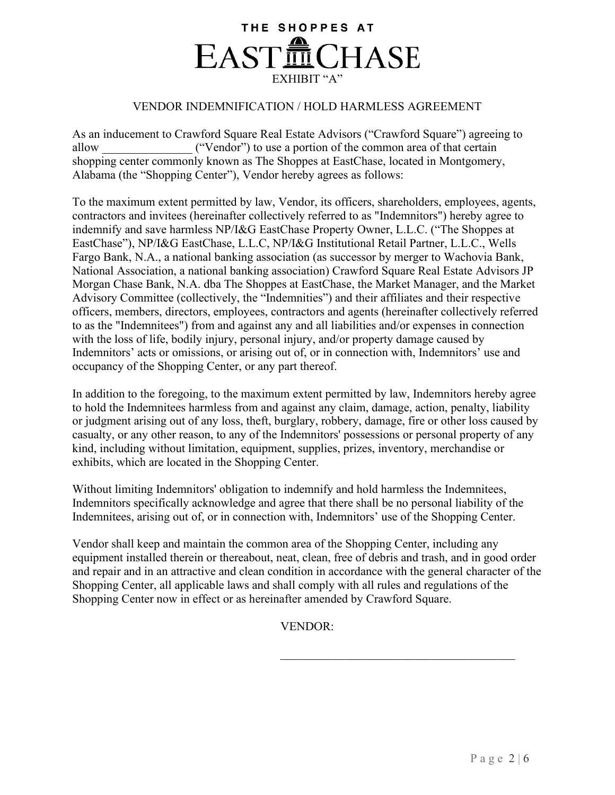## THE SHOPPES AT **EASTILCHASE** EXHIBIT "A"

### VENDOR INDEMNIFICATION / HOLD HARMLESS AGREEMENT

As an inducement to Crawford Square Real Estate Advisors ("Crawford Square") agreeing to allow ("Vendor") to use a portion of the common area of that certain shopping center commonly known as The Shoppes at EastChase, located in Montgomery, Alabama (the "Shopping Center"), Vendor hereby agrees as follows:

To the maximum extent permitted by law, Vendor, its officers, shareholders, employees, agents, contractors and invitees (hereinafter collectively referred to as "Indemnitors") hereby agree to indemnify and save harmless NP/I&G EastChase Property Owner, L.L.C. ("The Shoppes at EastChase"), NP/I&G EastChase, L.L.C, NP/I&G Institutional Retail Partner, L.L.C., Wells Fargo Bank, N.A., a national banking association (as successor by merger to Wachovia Bank, National Association, a national banking association) Crawford Square Real Estate Advisors JP Morgan Chase Bank, N.A. dba The Shoppes at EastChase, the Market Manager, and the Market Advisory Committee (collectively, the "Indemnities") and their affiliates and their respective officers, members, directors, employees, contractors and agents (hereinafter collectively referred to as the "Indemnitees") from and against any and all liabilities and/or expenses in connection with the loss of life, bodily injury, personal injury, and/or property damage caused by Indemnitors' acts or omissions, or arising out of, or in connection with, Indemnitors' use and occupancy of the Shopping Center, or any part thereof.

In addition to the foregoing, to the maximum extent permitted by law, Indemnitors hereby agree to hold the Indemnitees harmless from and against any claim, damage, action, penalty, liability or judgment arising out of any loss, theft, burglary, robbery, damage, fire or other loss caused by casualty, or any other reason, to any of the Indemnitors' possessions or personal property of any kind, including without limitation, equipment, supplies, prizes, inventory, merchandise or exhibits, which are located in the Shopping Center.

Without limiting Indemnitors' obligation to indemnify and hold harmless the Indemnitees, Indemnitors specifically acknowledge and agree that there shall be no personal liability of the Indemnitees, arising out of, or in connection with, Indemnitors' use of the Shopping Center.

Vendor shall keep and maintain the common area of the Shopping Center, including any equipment installed therein or thereabout, neat, clean, free of debris and trash, and in good order and repair and in an attractive and clean condition in accordance with the general character of the Shopping Center, all applicable laws and shall comply with all rules and regulations of the Shopping Center now in effect or as hereinafter amended by Crawford Square.

VENDOR:

 $\mathcal{L}_\text{max}$  and  $\mathcal{L}_\text{max}$  and  $\mathcal{L}_\text{max}$  and  $\mathcal{L}_\text{max}$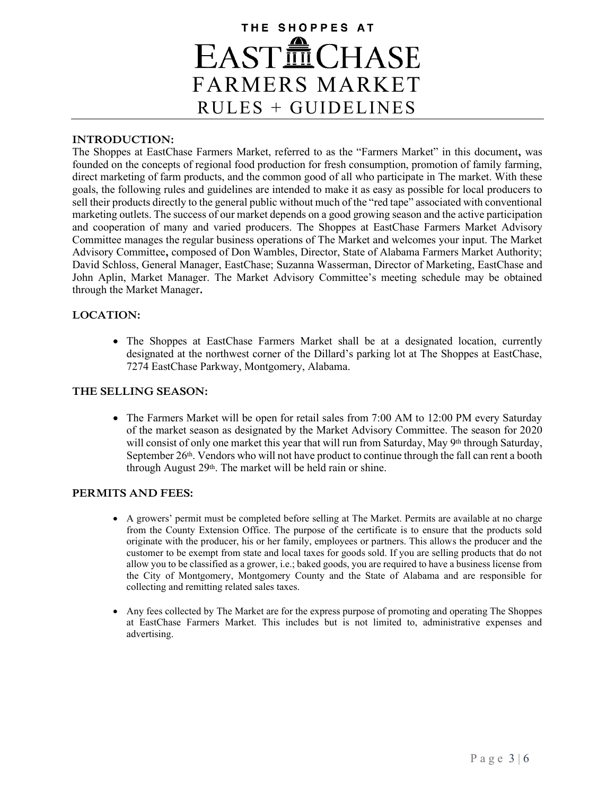## THE SHOPPES AT **EASTILCHASE** FARMERS MARKET RULES + GUIDELINES

#### **INTRODUCTION:**

The Shoppes at EastChase Farmers Market, referred to as the "Farmers Market" in this document**,** was founded on the concepts of regional food production for fresh consumption, promotion of family farming, direct marketing of farm products, and the common good of all who participate in The market. With these goals, the following rules and guidelines are intended to make it as easy as possible for local producers to sell their products directly to the general public without much of the "red tape" associated with conventional marketing outlets. The success of our market depends on a good growing season and the active participation and cooperation of many and varied producers. The Shoppes at EastChase Farmers Market Advisory Committee manages the regular business operations of The Market and welcomes your input. The Market Advisory Committee**,** composed of Don Wambles, Director, State of Alabama Farmers Market Authority; David Schloss, General Manager, EastChase; Suzanna Wasserman, Director of Marketing, EastChase and John Aplin, Market Manager. The Market Advisory Committee's meeting schedule may be obtained through the Market Manager**.** 

#### **LOCATION:**

• The Shoppes at EastChase Farmers Market shall be at a designated location, currently designated at the northwest corner of the Dillard's parking lot at The Shoppes at EastChase, 7274 EastChase Parkway, Montgomery, Alabama.

#### **THE SELLING SEASON:**

• The Farmers Market will be open for retail sales from 7:00 AM to 12:00 PM every Saturday of the market season as designated by the Market Advisory Committee. The season for 2020 will consist of only one market this year that will run from Saturday, May 9<sup>th</sup> through Saturday, September 26<sup>th</sup>. Vendors who will not have product to continue through the fall can rent a booth through August 29<sup>th</sup>. The market will be held rain or shine.

#### **PERMITS AND FEES:**

- A growers' permit must be completed before selling at The Market. Permits are available at no charge from the County Extension Office. The purpose of the certificate is to ensure that the products sold originate with the producer, his or her family, employees or partners. This allows the producer and the customer to be exempt from state and local taxes for goods sold. If you are selling products that do not allow you to be classified as a grower, i.e.; baked goods, you are required to have a business license from the City of Montgomery, Montgomery County and the State of Alabama and are responsible for collecting and remitting related sales taxes.
- Any fees collected by The Market are for the express purpose of promoting and operating The Shoppes at EastChase Farmers Market. This includes but is not limited to, administrative expenses and advertising.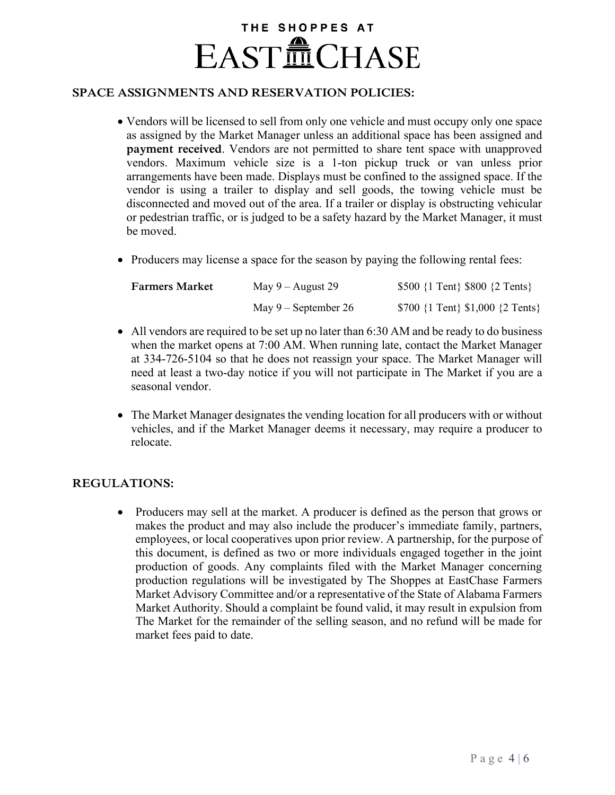# THE SHOPPES AT **EASTILCHASE**

### **SPACE ASSIGNMENTS AND RESERVATION POLICIES:**

- Vendors will be licensed to sell from only one vehicle and must occupy only one space as assigned by the Market Manager unless an additional space has been assigned and **payment received**. Vendors are not permitted to share tent space with unapproved vendors. Maximum vehicle size is a 1-ton pickup truck or van unless prior arrangements have been made. Displays must be confined to the assigned space. If the vendor is using a trailer to display and sell goods, the towing vehicle must be disconnected and moved out of the area. If a trailer or display is obstructing vehicular or pedestrian traffic, or is judged to be a safety hazard by the Market Manager, it must be moved.
- Producers may license a space for the season by paying the following rental fees:

| <b>Farmers Market</b> | May $9 -$ August 29    | \$500 $\{1 \text{ Tent}\}\$ \$800 $\{2 \text{ Tents}\}\$ |
|-----------------------|------------------------|----------------------------------------------------------|
|                       | May $9$ – September 26 | $$700$ {1 Tent} \$1,000 {2 Tents}                        |

- All vendors are required to be set up no later than 6:30 AM and be ready to do business when the market opens at 7:00 AM. When running late, contact the Market Manager at 334-726-5104 so that he does not reassign your space. The Market Manager will need at least a two-day notice if you will not participate in The Market if you are a seasonal vendor.
- The Market Manager designates the vending location for all producers with or without vehicles, and if the Market Manager deems it necessary, may require a producer to relocate.

## **REGULATIONS:**

• Producers may sell at the market. A producer is defined as the person that grows or makes the product and may also include the producer's immediate family, partners, employees, or local cooperatives upon prior review. A partnership, for the purpose of this document, is defined as two or more individuals engaged together in the joint production of goods. Any complaints filed with the Market Manager concerning production regulations will be investigated by The Shoppes at EastChase Farmers Market Advisory Committee and/or a representative of the State of Alabama Farmers Market Authority. Should a complaint be found valid, it may result in expulsion from The Market for the remainder of the selling season, and no refund will be made for market fees paid to date.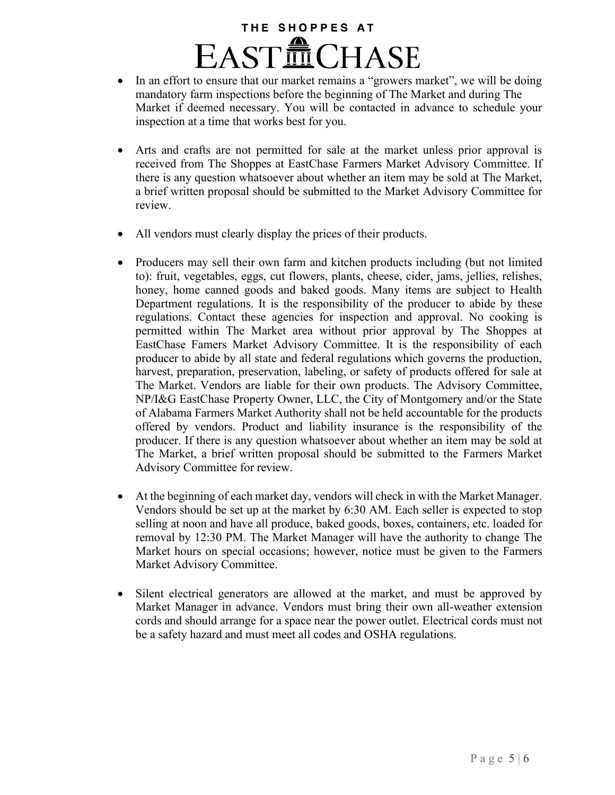# THE SHOPPES AT **EASTILCHASE**

- In an effort to ensure that our market remains a "growers market", we will be doing mandatory farm inspections before the beginning of The Market and during The Market if deemed necessary. You will be contacted in advance to schedule your inspection at a time that works best for you.
- Arts and crafts are not permitted for sale at the market unless prior approval is received from The Shoppes at EastChase Farmers Market Advisory Committee. If there is any question whatsoever about whether an item may be sold at The Market, a brief written proposal should be submitted to the Market Advisory Committee for review.
- All vendors must clearly display the prices of their products.
- Producers may sell their own farm and kitchen products including (but not limited to): fruit, vegetables, eggs, cut flowers, plants, cheese, cider, jams, jellies, relishes, honey, home canned goods and baked goods. Many items are subject to Health Department regulations. It is the responsibility of the producer to abide by these regulations. Contact these agencies for inspection and approval. No cooking is permitted within The Market area without prior approval by The Shoppes at EastChase Famers Market Advisory Committee. It is the responsibility of each producer to abide by all state and federal regulations which governs the production, harvest, preparation, preservation, labeling, or safety of products offered for sale at The Market. Vendors are liable for their own products. The Advisory Committee, NP/I&G EastChase Property Owner, LLC, the City of Montgomery and/or the State of Alabama Farmers Market Authority shall not be held accountable for the products offered by vendors. Product and liability insurance is the responsibility of the producer. If there is any question whatsoever about whether an item may be sold at The Market, a brief written proposal should be submitted to the Farmers Market Advisory Committee for review.
- At the beginning of each market day, vendors will check in with the Market Manager. Vendors should be set up at the market by 6:30 AM. Each seller is expected to stop selling at noon and have all produce, baked goods, boxes, containers, etc. loaded for removal by 12:30 PM. The Market Manager will have the authority to change The Market hours on special occasions; however, notice must be given to the Farmers Market Advisory Committee.
- Silent electrical generators are allowed at the market, and must be approved by Market Manager in advance. Vendors must bring their own all-weather extension cords and should arrange for a space near the power outlet. Electrical cords must not be a safety hazard and must meet all codes and OSHA regulations.